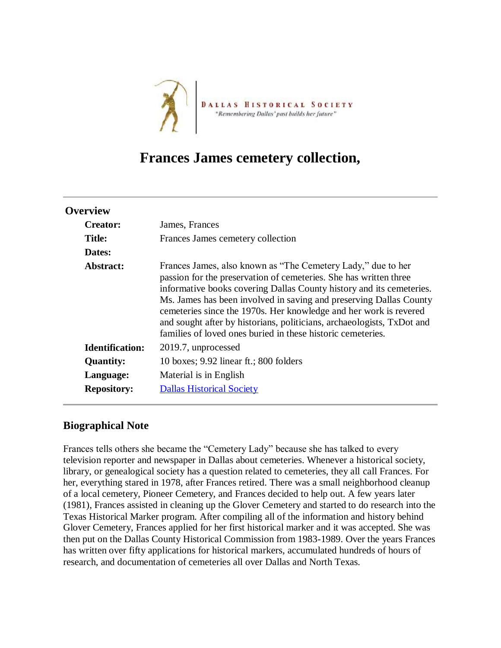

## **Frances James cemetery collection,**

| <b>Overview</b>        |                                                                                                                                                                                                                                                                                                                                                                                                                                                                                               |
|------------------------|-----------------------------------------------------------------------------------------------------------------------------------------------------------------------------------------------------------------------------------------------------------------------------------------------------------------------------------------------------------------------------------------------------------------------------------------------------------------------------------------------|
| <b>Creator:</b>        | James, Frances                                                                                                                                                                                                                                                                                                                                                                                                                                                                                |
| <b>Title:</b>          | Frances James cemetery collection                                                                                                                                                                                                                                                                                                                                                                                                                                                             |
| Dates:                 |                                                                                                                                                                                                                                                                                                                                                                                                                                                                                               |
| Abstract:              | Frances James, also known as "The Cemetery Lady," due to her<br>passion for the preservation of cemeteries. She has written three<br>informative books covering Dallas County history and its cemeteries.<br>Ms. James has been involved in saving and preserving Dallas County<br>cemeteries since the 1970s. Her knowledge and her work is revered<br>and sought after by historians, politicians, archaeologists, TxDot and<br>families of loved ones buried in these historic cemeteries. |
| <b>Identification:</b> | 2019.7, unprocessed                                                                                                                                                                                                                                                                                                                                                                                                                                                                           |
| <b>Quantity:</b>       | 10 boxes; $9.92$ linear ft.; 800 folders                                                                                                                                                                                                                                                                                                                                                                                                                                                      |
| Language:              | Material is in English                                                                                                                                                                                                                                                                                                                                                                                                                                                                        |
| <b>Repository:</b>     | <b>Dallas Historical Society</b>                                                                                                                                                                                                                                                                                                                                                                                                                                                              |

## **Biographical Note**

Frances tells others she became the "Cemetery Lady" because she has talked to every television reporter and newspaper in Dallas about cemeteries. Whenever a historical society, library, or genealogical society has a question related to cemeteries, they all call Frances. For her, everything stared in 1978, after Frances retired. There was a small neighborhood cleanup of a local cemetery, Pioneer Cemetery, and Frances decided to help out. A few years later (1981), Frances assisted in cleaning up the Glover Cemetery and started to do research into the Texas Historical Marker program. After compiling all of the information and history behind Glover Cemetery, Frances applied for her first historical marker and it was accepted. She was then put on the Dallas County Historical Commission from 1983-1989. Over the years Frances has written over fifty applications for historical markers, accumulated hundreds of hours of research, and documentation of cemeteries all over Dallas and North Texas.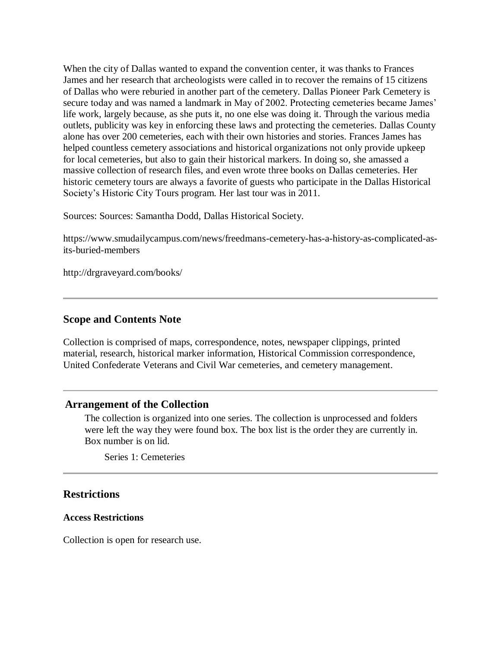When the city of Dallas wanted to expand the convention center, it was thanks to Frances James and her research that archeologists were called in to recover the remains of 15 citizens of Dallas who were reburied in another part of the cemetery. Dallas Pioneer Park Cemetery is secure today and was named a landmark in May of 2002. Protecting cemeteries became James' life work, largely because, as she puts it, no one else was doing it. Through the various media outlets, publicity was key in enforcing these laws and protecting the cemeteries. Dallas County alone has over 200 cemeteries, each with their own histories and stories. Frances James has helped countless cemetery associations and historical organizations not only provide upkeep for local cemeteries, but also to gain their historical markers. In doing so, she amassed a massive collection of research files, and even wrote three books on Dallas cemeteries. Her historic cemetery tours are always a favorite of guests who participate in the Dallas Historical Society's Historic City Tours program. Her last tour was in 2011.

Sources: Sources: Samantha Dodd, Dallas Historical Society.

https://www.smudailycampus.com/news/freedmans-cemetery-has-a-history-as-complicated-asits-buried-members

http://drgraveyard.com/books/

#### **Scope and Contents Note**

Collection is comprised of maps, correspondence, notes, newspaper clippings, printed material, research, historical marker information, Historical Commission correspondence, United Confederate Veterans and Civil War cemeteries, and cemetery management.

#### **Arrangement of the Collection**

The collection is organized into one series. The collection is unprocessed and folders were left the way they were found box. The box list is the order they are currently in. Box number is on lid.

Series 1: Cemeteries

#### **Restrictions**

#### **Access Restrictions**

Collection is open for research use.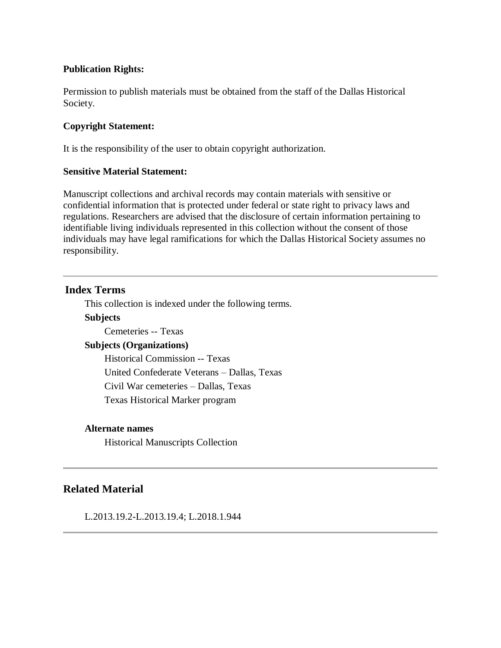#### **Publication Rights:**

Permission to publish materials must be obtained from the staff of the Dallas Historical Society.

#### **Copyright Statement:**

It is the responsibility of the user to obtain copyright authorization.

#### **Sensitive Material Statement:**

Manuscript collections and archival records may contain materials with sensitive or confidential information that is protected under federal or state right to privacy laws and regulations. Researchers are advised that the disclosure of certain information pertaining to identifiable living individuals represented in this collection without the consent of those individuals may have legal ramifications for which the Dallas Historical Society assumes no responsibility.

#### **Index Terms**

This collection is indexed under the following terms.

#### **Subjects**

Cemeteries -- Texas

#### **Subjects (Organizations)**

Historical Commission -- Texas United Confederate Veterans – Dallas, Texas Civil War cemeteries – Dallas, Texas Texas Historical Marker program

#### **Alternate names**

Historical Manuscripts Collection

## **Related Material**

L.2013.19.2-L.2013.19.4; L.2018.1.944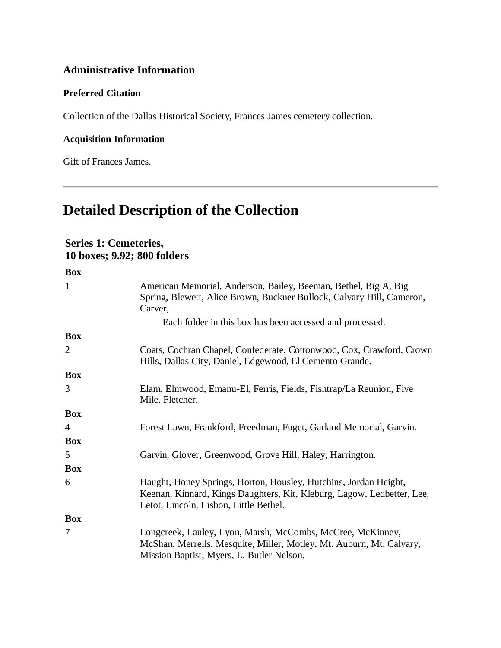## **Administrative Information**

#### **Preferred Citation**

Collection of the Dallas Historical Society, Frances James cemetery collection.

## **Acquisition Information**

Gift of Frances James.

# **Detailed Description of the Collection**

## **Series 1: Cemeteries, 10 boxes; 9.92; 800 folders**

| <b>Box</b>     |                                                                                                                                                                                      |
|----------------|--------------------------------------------------------------------------------------------------------------------------------------------------------------------------------------|
| $\mathbf{1}$   | American Memorial, Anderson, Bailey, Beeman, Bethel, Big A, Big<br>Spring, Blewett, Alice Brown, Buckner Bullock, Calvary Hill, Cameron,<br>Carver,                                  |
|                | Each folder in this box has been accessed and processed.                                                                                                                             |
| <b>Box</b>     |                                                                                                                                                                                      |
| $\overline{2}$ | Coats, Cochran Chapel, Confederate, Cottonwood, Cox, Crawford, Crown<br>Hills, Dallas City, Daniel, Edgewood, El Cemento Grande.                                                     |
| <b>Box</b>     |                                                                                                                                                                                      |
| 3              | Elam, Elmwood, Emanu-El, Ferris, Fields, Fishtrap/La Reunion, Five<br>Mile, Fletcher.                                                                                                |
| <b>Box</b>     |                                                                                                                                                                                      |
| $\overline{4}$ | Forest Lawn, Frankford, Freedman, Fuget, Garland Memorial, Garvin.                                                                                                                   |
| <b>Box</b>     |                                                                                                                                                                                      |
| 5              | Garvin, Glover, Greenwood, Grove Hill, Haley, Harrington.                                                                                                                            |
| <b>Box</b>     |                                                                                                                                                                                      |
| 6              | Haught, Honey Springs, Horton, Housley, Hutchins, Jordan Height,<br>Keenan, Kinnard, Kings Daughters, Kit, Kleburg, Lagow, Ledbetter, Lee,<br>Letot, Lincoln, Lisbon, Little Bethel. |
| <b>Box</b>     |                                                                                                                                                                                      |
| 7              | Longcreek, Lanley, Lyon, Marsh, McCombs, McCree, McKinney,<br>McShan, Merrells, Mesquite, Miller, Motley, Mt. Auburn, Mt. Calvary,<br>Mission Baptist, Myers, L. Butler Nelson.      |